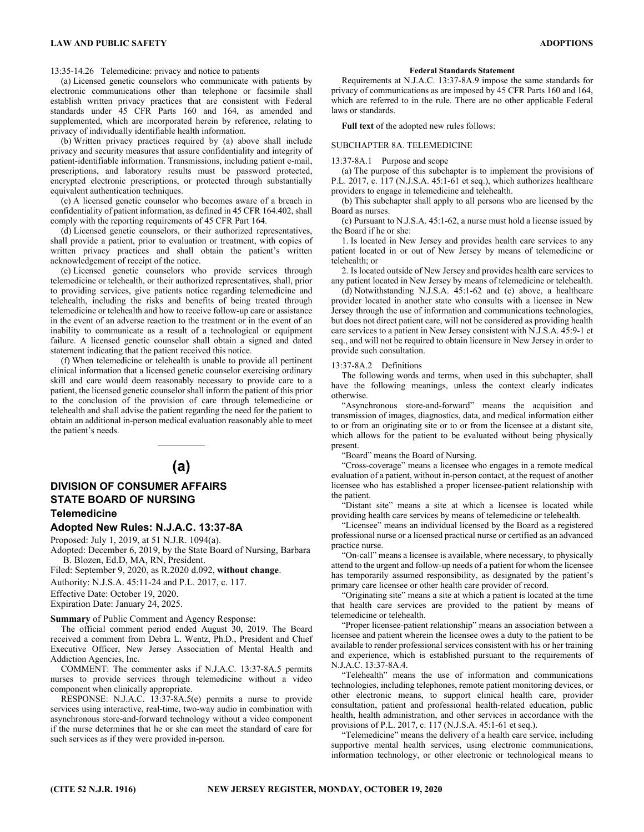13:35-14.26 Telemedicine: privacy and notice to patients

(a) Licensed genetic counselors who communicate with patients by electronic communications other than telephone or facsimile shall establish written privacy practices that are consistent with Federal standards under 45 CFR Parts 160 and 164, as amended and supplemented, which are incorporated herein by reference, relating to privacy of individually identifiable health information.

(b) Written privacy practices required by (a) above shall include privacy and security measures that assure confidentiality and integrity of patient-identifiable information. Transmissions, including patient e-mail, prescriptions, and laboratory results must be password protected, encrypted electronic prescriptions, or protected through substantially equivalent authentication techniques.

(c) A licensed genetic counselor who becomes aware of a breach in confidentiality of patient information, as defined in 45 CFR 164.402, shall comply with the reporting requirements of 45 CFR Part 164.

(d) Licensed genetic counselors, or their authorized representatives, shall provide a patient, prior to evaluation or treatment, with copies of written privacy practices and shall obtain the patient's written acknowledgement of receipt of the notice.

(e) Licensed genetic counselors who provide services through telemedicine or telehealth, or their authorized representatives, shall, prior to providing services, give patients notice regarding telemedicine and telehealth, including the risks and benefits of being treated through telemedicine or telehealth and how to receive follow-up care or assistance in the event of an adverse reaction to the treatment or in the event of an inability to communicate as a result of a technological or equipment failure. A licensed genetic counselor shall obtain a signed and dated statement indicating that the patient received this notice.

(f) When telemedicine or telehealth is unable to provide all pertinent clinical information that a licensed genetic counselor exercising ordinary skill and care would deem reasonably necessary to provide care to a patient, the licensed genetic counselor shall inform the patient of this prior to the conclusion of the provision of care through telemedicine or telehealth and shall advise the patient regarding the need for the patient to obtain an additional in-person medical evaluation reasonably able to meet the patient's needs.

# **(a)**

 $\mathcal{L}_\text{max}$ 

# **DIVISION OF CONSUMER AFFAIRS STATE BOARD OF NURSING Telemedicine**

# **Adopted New Rules: N.J.A.C. 13:37-8A**

Proposed: July 1, 2019, at 51 N.J.R. 1094(a).

Adopted: December 6, 2019, by the State Board of Nursing, Barbara B. Blozen, Ed.D, MA, RN, President.

Filed: September 9, 2020, as R.2020 d.092, **without change**.

Authority: N.J.S.A. 45:11-24 and P.L. 2017, c. 117.

Effective Date: October 19, 2020.

Expiration Date: January 24, 2025.

**Summary** of Public Comment and Agency Response:

The official comment period ended August 30, 2019. The Board received a comment from Debra L. Wentz, Ph.D., President and Chief Executive Officer, New Jersey Association of Mental Health and Addiction Agencies, Inc.

COMMENT: The commenter asks if N.J.A.C. 13:37-8A.5 permits nurses to provide services through telemedicine without a video component when clinically appropriate.

RESPONSE: N.J.A.C. 13:37-8A.5(e) permits a nurse to provide services using interactive, real-time, two-way audio in combination with asynchronous store-and-forward technology without a video component if the nurse determines that he or she can meet the standard of care for such services as if they were provided in-person.

#### **Federal Standards Statement**

Requirements at N.J.A.C. 13:37-8A.9 impose the same standards for privacy of communications as are imposed by 45 CFR Parts 160 and 164, which are referred to in the rule. There are no other applicable Federal laws or standards.

**Full text** of the adopted new rules follows:

## SUBCHAPTER 8A. TELEMEDICINE

13:37-8A.1 Purpose and scope

(a) The purpose of this subchapter is to implement the provisions of P.L. 2017, c. 117 (N.J.S.A. 45:1-61 et seq.), which authorizes healthcare providers to engage in telemedicine and telehealth.

(b) This subchapter shall apply to all persons who are licensed by the Board as nurses.

(c) Pursuant to N.J.S.A. 45:1-62, a nurse must hold a license issued by the Board if he or she:

1. Is located in New Jersey and provides health care services to any patient located in or out of New Jersey by means of telemedicine or telehealth; or

2. Is located outside of New Jersey and provides health care services to any patient located in New Jersey by means of telemedicine or telehealth.

(d) Notwithstanding N.J.S.A. 45:1-62 and (c) above, a healthcare provider located in another state who consults with a licensee in New Jersey through the use of information and communications technologies, but does not direct patient care, will not be considered as providing health care services to a patient in New Jersey consistent with N.J.S.A. 45:9-1 et seq., and will not be required to obtain licensure in New Jersey in order to provide such consultation.

#### 13:37-8A.2 Definitions

The following words and terms, when used in this subchapter, shall have the following meanings, unless the context clearly indicates otherwise.

"Asynchronous store-and-forward" means the acquisition and transmission of images, diagnostics, data, and medical information either to or from an originating site or to or from the licensee at a distant site, which allows for the patient to be evaluated without being physically present.

"Board" means the Board of Nursing.

"Cross-coverage" means a licensee who engages in a remote medical evaluation of a patient, without in-person contact, at the request of another licensee who has established a proper licensee-patient relationship with the patient.

"Distant site" means a site at which a licensee is located while providing health care services by means of telemedicine or telehealth.

"Licensee" means an individual licensed by the Board as a registered professional nurse or a licensed practical nurse or certified as an advanced practice nurse.

"On-call" means a licensee is available, where necessary, to physically attend to the urgent and follow-up needs of a patient for whom the licensee has temporarily assumed responsibility, as designated by the patient's primary care licensee or other health care provider of record.

"Originating site" means a site at which a patient is located at the time that health care services are provided to the patient by means of telemedicine or telehealth.

"Proper licensee-patient relationship" means an association between a licensee and patient wherein the licensee owes a duty to the patient to be available to render professional services consistent with his or her training and experience, which is established pursuant to the requirements of N.J.A.C. 13:37-8A.4.

"Telehealth" means the use of information and communications technologies, including telephones, remote patient monitoring devices, or other electronic means, to support clinical health care, provider consultation, patient and professional health-related education, public health, health administration, and other services in accordance with the provisions of P.L. 2017, c. 117 (N.J.S.A. 45:1-61 et seq.).

"Telemedicine" means the delivery of a health care service, including supportive mental health services, using electronic communications, information technology, or other electronic or technological means to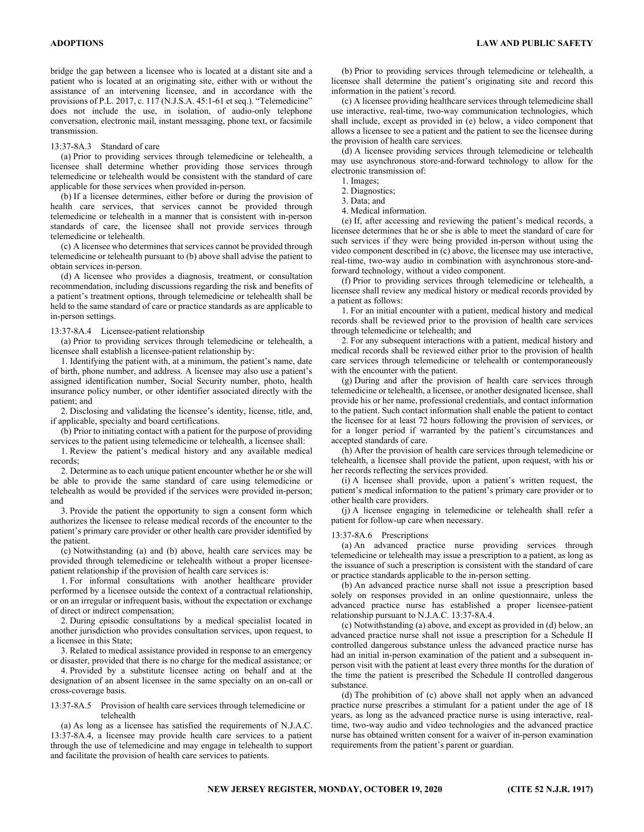bridge the gap between a licensee who is located at a distant site and a patient who is located at an originating site, either with or without the assistance of an intervening licensee, and in accordance with the provisions of P.L. 2017, c. 117 (N.J.S.A. 45:1-61 et seq.). "Telemedicine" does not include the use, in isolation, of audio-only telephone conversation, electronic mail, instant messaging, phone text, or facsimile transmission.

## 13:37-8A.3 Standard of care

(a) Prior to providing services through telemedicine or telehealth, a licensee shall determine whether providing those services through telemedicine or telehealth would be consistent with the standard of care applicable for those services when provided in-person.

(b) If a licensee determines, either before or during the provision of health care services, that services cannot be provided through telemedicine or telehealth in a manner that is consistent with in-person standards of care, the licensee shall not provide services through telemedicine or telehealth.

(c) A licensee who determines that services cannot be provided through telemedicine or telehealth pursuant to (b) above shall advise the patient to obtain services in-person.

(d) A licensee who provides a diagnosis, treatment, or consultation recommendation, including discussions regarding the risk and benefits of a patient's treatment options, through telemedicine or telehealth shall be held to the same standard of care or practice standards as are applicable to in-person settings.

#### 13:37-8A.4 Licensee-patient relationship

(a) Prior to providing services through telemedicine or telehealth, a licensee shall establish a licensee-patient relationship by:

1. Identifying the patient with, at a minimum, the patient's name, date of birth, phone number, and address. A licensee may also use a patient's assigned identification number, Social Security number, photo, health insurance policy number, or other identifier associated directly with the patient; and

2. Disclosing and validating the licensee's identity, license, title, and, if applicable, specialty and board certifications.

(b) Prior to initiating contact with a patient for the purpose of providing services to the patient using telemedicine or telehealth, a licensee shall:

1. Review the patient's medical history and any available medical records;

2. Determine as to each unique patient encounter whether he or she will be able to provide the same standard of care using telemedicine or telehealth as would be provided if the services were provided in-person; and

3. Provide the patient the opportunity to sign a consent form which authorizes the licensee to release medical records of the encounter to the patient's primary care provider or other health care provider identified by the patient.

(c) Notwithstanding (a) and (b) above, health care services may be provided through telemedicine or telehealth without a proper licenseepatient relationship if the provision of health care services is:

1. For informal consultations with another healthcare provider performed by a licensee outside the context of a contractual relationship, or on an irregular or infrequent basis, without the expectation or exchange of direct or indirect compensation;

2. During episodic consultations by a medical specialist located in another jurisdiction who provides consultation services, upon request, to a licensee in this State;

3. Related to medical assistance provided in response to an emergency or disaster, provided that there is no charge for the medical assistance; or

4. Provided by a substitute licensee acting on behalf and at the designation of an absent licensee in the same specialty on an on-call or cross-coverage basis.

13:37-8A.5 Provision of health care services through telemedicine or telehealth

(a) As long as a licensee has satisfied the requirements of N.J.A.C. 13:37-8A.4, a licensee may provide health care services to a patient through the use of telemedicine and may engage in telehealth to support and facilitate the provision of health care services to patients.

(b) Prior to providing services through telemedicine or telehealth, a licensee shall determine the patient's originating site and record this information in the patient's record.

(c) A licensee providing healthcare services through telemedicine shall use interactive, real-time, two-way communication technologies, which shall include, except as provided in (e) below, a video component that allows a licensee to see a patient and the patient to see the licensee during the provision of health care services.

(d) A licensee providing services through telemedicine or telehealth may use asynchronous store-and-forward technology to allow for the electronic transmission of:

1. Images;

2. Diagnostics;

3. Data; and

4. Medical information.

(e) If, after accessing and reviewing the patient's medical records, a licensee determines that he or she is able to meet the standard of care for such services if they were being provided in-person without using the video component described in (c) above, the licensee may use interactive, real-time, two-way audio in combination with asynchronous store-andforward technology, without a video component.

(f) Prior to providing services through telemedicine or telehealth, a licensee shall review any medical history or medical records provided by a patient as follows:

1. For an initial encounter with a patient, medical history and medical records shall be reviewed prior to the provision of health care services through telemedicine or telehealth; and

2. For any subsequent interactions with a patient, medical history and medical records shall be reviewed either prior to the provision of health care services through telemedicine or telehealth or contemporaneously with the encounter with the patient.

(g) During and after the provision of health care services through telemedicine or telehealth, a licensee, or another designated licensee, shall provide his or her name, professional credentials, and contact information to the patient. Such contact information shall enable the patient to contact the licensee for at least 72 hours following the provision of services, or for a longer period if warranted by the patient's circumstances and accepted standards of care.

(h) After the provision of health care services through telemedicine or telehealth, a licensee shall provide the patient, upon request, with his or her records reflecting the services provided.

(i) A licensee shall provide, upon a patient's written request, the patient's medical information to the patient's primary care provider or to other health care providers.

(j) A licensee engaging in telemedicine or telehealth shall refer a patient for follow-up care when necessary.

# 13:37-8A.6 Prescriptions

(a) An advanced practice nurse providing services through telemedicine or telehealth may issue a prescription to a patient, as long as the issuance of such a prescription is consistent with the standard of care or practice standards applicable to the in-person setting.

(b) An advanced practice nurse shall not issue a prescription based solely on responses provided in an online questionnaire, unless the advanced practice nurse has established a proper licensee-patient relationship pursuant to N.J.A.C. 13:37-8A.4.

(c) Notwithstanding (a) above, and except as provided in (d) below, an advanced practice nurse shall not issue a prescription for a Schedule II controlled dangerous substance unless the advanced practice nurse has had an initial in-person examination of the patient and a subsequent inperson visit with the patient at least every three months for the duration of the time the patient is prescribed the Schedule II controlled dangerous substance.

(d) The prohibition of (c) above shall not apply when an advanced practice nurse prescribes a stimulant for a patient under the age of 18 years, as long as the advanced practice nurse is using interactive, realtime, two-way audio and video technologies and the advanced practice nurse has obtained written consent for a waiver of in-person examination requirements from the patient's parent or guardian.